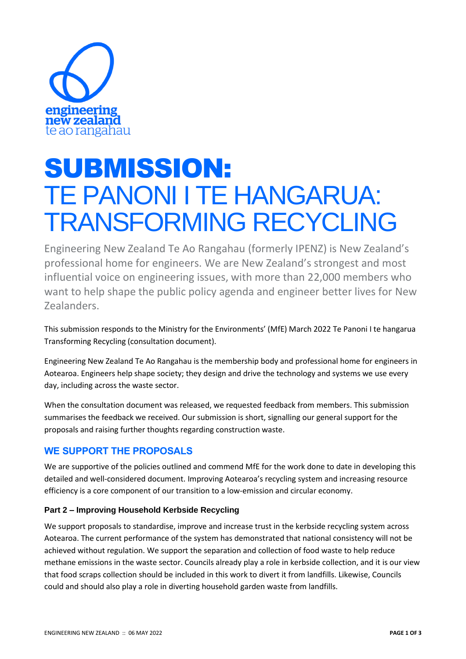

# SUBMISSION: TE PANONI I TE HANGARUA: TRANSFORMING RECYCLING

Engineering New Zealand Te Ao Rangahau (formerly IPENZ) is New Zealand's professional home for engineers. We are New Zealand's strongest and most influential voice on engineering issues, with more than 22,000 members who want to help shape the public policy agenda and engineer better lives for New Zealanders.

This submission responds to the Ministry for the Environments' (MfE) March 2022 Te Panoni I te hangarua Transforming Recycling (consultation document).

Engineering New Zealand Te Ao Rangahau is the membership body and professional home for engineers in Aotearoa. Engineers help shape society; they design and drive the technology and systems we use every day, including across the waste sector.

When the consultation document was released, we requested feedback from members. This submission summarises the feedback we received. Our submission is short, signalling our general support for the proposals and raising further thoughts regarding construction waste.

## **WE SUPPORT THE PROPOSALS**

We are supportive of the policies outlined and commend MfE for the work done to date in developing this detailed and well-considered document. Improving Aotearoa's recycling system and increasing resource efficiency is a core component of our transition to a low-emission and circular economy.

### **Part 2 – Improving Household Kerbside Recycling**

We support proposals to standardise, improve and increase trust in the kerbside recycling system across Aotearoa. The current performance of the system has demonstrated that national consistency will not be achieved without regulation. We support the separation and collection of food waste to help reduce methane emissions in the waste sector. Councils already play a role in kerbside collection, and it is our view that food scraps collection should be included in this work to divert it from landfills. Likewise, Councils could and should also play a role in diverting household garden waste from landfills.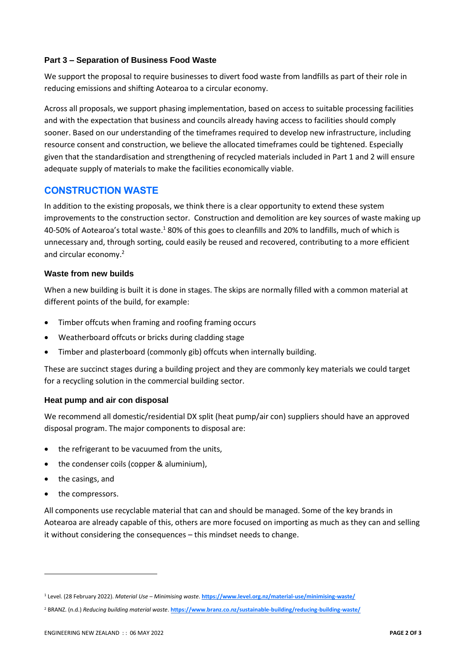#### **Part 3 – Separation of Business Food Waste**

We support the proposal to require businesses to divert food waste from landfills as part of their role in reducing emissions and shifting Aotearoa to a circular economy.

Across all proposals, we support phasing implementation, based on access to suitable processing facilities and with the expectation that business and councils already having access to facilities should comply sooner. Based on our understanding of the timeframes required to develop new infrastructure, including resource consent and construction, we believe the allocated timeframes could be tightened. Especially given that the standardisation and strengthening of recycled materials included in Part 1 and 2 will ensure adequate supply of materials to make the facilities economically viable.

## **CONSTRUCTION WASTE**

In addition to the existing proposals, we think there is a clear opportunity to extend these system improvements to the construction sector. Construction and demolition are key sources of waste making up 40-50% of Aotearoa's total waste.<sup>1</sup> 80% of this goes to cleanfills and 20% to landfills, much of which is unnecessary and, through sorting, could easily be reused and recovered, contributing to a more efficient and circular economy.<sup>2</sup>

#### **Waste from new builds**

When a new building is built it is done in stages. The skips are normally filled with a common material at different points of the build, for example:

- Timber offcuts when framing and roofing framing occurs
- Weatherboard offcuts or bricks during cladding stage
- Timber and plasterboard (commonly gib) offcuts when internally building.

These are succinct stages during a building project and they are commonly key materials we could target for a recycling solution in the commercial building sector.

#### **Heat pump and air con disposal**

We recommend all domestic/residential DX split (heat pump/air con) suppliers should have an approved disposal program. The major components to disposal are:

- the refrigerant to be vacuumed from the units,
- the condenser coils (copper & aluminium),
- the casings, and
- the compressors.

All components use recyclable material that can and should be managed. Some of the key brands in Aotearoa are already capable of this, others are more focused on importing as much as they can and selling it without considering the consequences – this mindset needs to change.

<sup>1</sup> Level. (28 February 2022). *Material Use – Minimising waste*. **<https://www.level.org.nz/material-use/minimising-waste/>**

<sup>2</sup> BRANZ. (n.d.) *Reducing building material waste*. **<https://www.branz.co.nz/sustainable-building/reducing-building-waste/>**